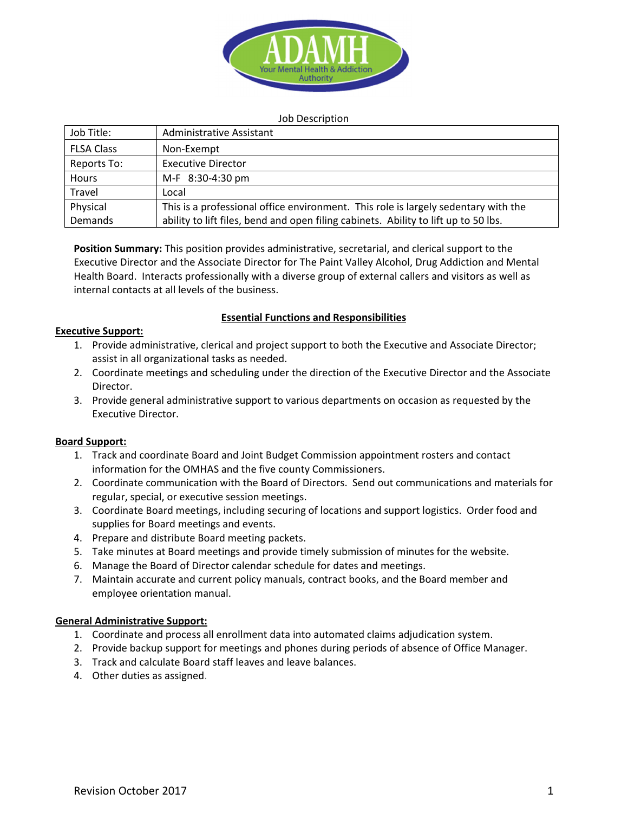

#### Job Description

| Job Title:        | Administrative Assistant                                                            |
|-------------------|-------------------------------------------------------------------------------------|
| <b>FLSA Class</b> | Non-Exempt                                                                          |
| Reports To:       | <b>Executive Director</b>                                                           |
| Hours             | M-F 8:30-4:30 pm                                                                    |
| Travel            | Local                                                                               |
| Physical          | This is a professional office environment. This role is largely sedentary with the  |
| Demands           | ability to lift files, bend and open filing cabinets. Ability to lift up to 50 lbs. |

**Position Summary:** This position provides administrative, secretarial, and clerical support to the Executive Director and the Associate Director for The Paint Valley Alcohol, Drug Addiction and Mental Health Board. Interacts professionally with a diverse group of external callers and visitors as well as internal contacts at all levels of the business.

#### **Essential Functions and Responsibilities**

#### **Executive Support:**

- 1. Provide administrative, clerical and project support to both the Executive and Associate Director; assist in all organizational tasks as needed.
- 2. Coordinate meetings and scheduling under the direction of the Executive Director and the Associate Director.
- 3. Provide general administrative support to various departments on occasion as requested by the Executive Director.

# **Board Support:**

- 1. Track and coordinate Board and Joint Budget Commission appointment rosters and contact information for the OMHAS and the five county Commissioners.
- 2. Coordinate communication with the Board of Directors. Send out communications and materials for regular, special, or executive session meetings.
- 3. Coordinate Board meetings, including securing of locations and support logistics. Order food and supplies for Board meetings and events.
- 4. Prepare and distribute Board meeting packets.
- 5. Take minutes at Board meetings and provide timely submission of minutes for the website.
- 6. Manage the Board of Director calendar schedule for dates and meetings.
- 7. Maintain accurate and current policy manuals, contract books, and the Board member and employee orientation manual.

# **General Administrative Support:**

- 1. Coordinate and process all enrollment data into automated claims adjudication system.
- 2. Provide backup support for meetings and phones during periods of absence of Office Manager.
- 3. Track and calculate Board staff leaves and leave balances.
- 4. Other duties as assigned.